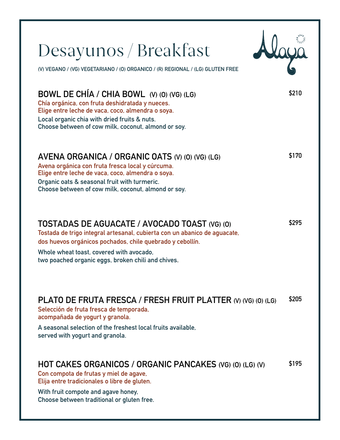| Desayunos / Breakfast                                                                                                                                                                                                                                                                     |       |
|-------------------------------------------------------------------------------------------------------------------------------------------------------------------------------------------------------------------------------------------------------------------------------------------|-------|
| (V) VEGANO / (VG) VEGETARIANO / (0) ORGANICO / (R) REGIONAL / (LG) GLUTEN FREE                                                                                                                                                                                                            |       |
| BOWL DE CHÍA / CHIA BOWL (V) (0) (VG) (LG)<br>Chía orgánica, con fruta deshidratada y nueces.<br>Elige entre leche de vaca, coco, almendra o soya.<br>Local organic chia with dried fruits & nuts.<br>Choose between of cow milk, coconut, almond or soy.                                 | \$210 |
| AVENA ORGANICA / ORGANIC OATS (V) (0) (VG) (LG)<br>Avena orgánica con fruta fresca local y cúrcuma.<br>Elige entre leche de vaca, coco, almendra o soya.<br>Organic oats & seasonal fruit with turmeric.<br>Choose between of cow milk, coconut, almond or soy.                           | \$170 |
| TOSTADAS DE AGUACATE / AVOCADO TOAST (VG) (0)<br>Tostada de trigo integral artesanal, cubierta con un abanico de aguacate,<br>dos huevos orgánicos pochados, chile quebrado y cebollín.<br>Whole wheat toast, covered with avocado.<br>two poached organic eggs, broken chili and chives. | \$295 |
| PLATO DE FRUTA FRESCA / FRESH FRUIT PLATTER (V) (VG) (O) (LG)<br>Selección de fruta fresca de temporada,<br>acompañada de yogurt y granola.<br>A seasonal selection of the freshest local fruits available.<br>served with yogurt and granola.                                            | \$205 |
| HOT CAKES ORGANICOS / ORGANIC PANCAKES (VG) (O) (LG) (V)<br>Con compota de frutas y miel de agave,<br>Elija entre tradicionales o libre de gluten.<br>With fruit compote and agave honey,<br>Choose between traditional or gluten free.                                                   | \$195 |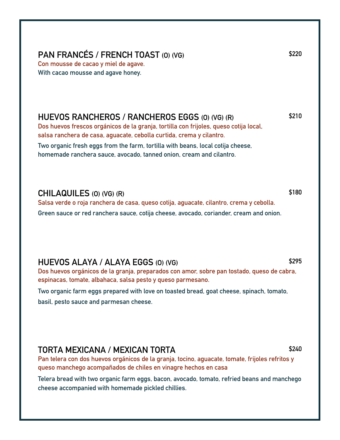## **PAN FRANCÉS / FRENCH TOAST (O) (VG)**

**Con mousse de cacao y miel de agave. With cacao mousse and agave honey.**

#### **HUEVOS RANCHEROS / RANCHEROS EGGS (O) (VG) (R)**

**Dos huevos frescos orgánicos de la granja, tortilla con frijoles, queso cotija local, salsa ranchera de casa, aguacate, cebolla curtida, crema y cilantro. Two organic fresh eggs from the farm, tortilla with beans, local cotija cheese, homemade ranchera sauce, avocado, tanned onion, cream and cilantro.**

#### **CHILAQUILES (O) (VG) (R)**

**Salsa verde o roja ranchera de casa, queso cotija, aguacate, cilantro, crema y cebolla. Green sauce or red ranchera sauce, cotija cheese, avocado, coriander, cream and onion.**

#### **HUEVOS ALAYA / ALAYA EGGS (O) (VG)**

**Dos huevos orgánicos de la granja, preparados con amor, sobre pan tostado, queso de cabra, espinacas, tomate, albahaca, salsa pesto y queso parmesano.**

**Two organic farm eggs prepared with love on toasted bread, goat cheese, spinach, tomato, basil, pesto sauce and parmesan cheese.**

#### **TORTA MEXICANA / MEXICAN TORTA**

**Pan telera con dos huevos orgánicos de la granja, tocino, aguacate, tomate, frijoles refritos y queso manchego acompañados de chiles en vinagre hechos en casa**

**Telera bread with two organic farm eggs, bacon, avocado, tomato, refried beans and manchego cheese accompanied with homemade pickled chillies.**

**\$295**

**\$180**

#### **\$240**

**\$220**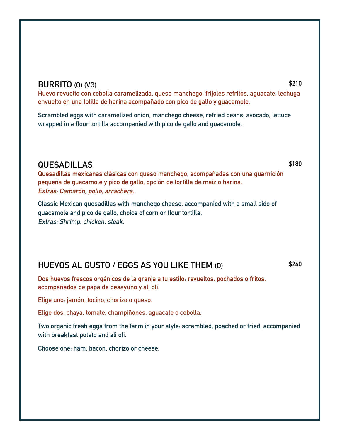#### **BURRITO (O) (VG)**

**Huevo revuelto con cebolla caramelizada, queso manchego, frijoles refritos, aguacate, lechuga envuelto en una totilla de harina acompañado con pico de gallo y guacamole.**

**Scrambled eggs with caramelized onion, manchego cheese, refried beans, avocado, lettuce wrapped in a flour tortilla accompanied with pico de gallo and guacamole.**

#### **QUESADILLAS**

**Quesadillas mexicanas clásicas con queso manchego, acompañadas con una guarnición pequeña de guacamole y pico de gallo, opción de tortilla de maíz o harina. Extras: Camarón, pollo, arrachera.**

**Classic Mexican quesadillas with manchego cheese, accompanied with a small side of guacamole and pico de gallo, choice of corn or flour tortilla. Extras: Shrimp, chicken, steak.**

## **HUEVOS AL GUSTO / EGGS AS YOU LIKE THEM (O)**

**\$240**

**Dos huevos frescos orgánicos de la granja a tu estilo: revueltos, pochados o fritos, acompañados de papa de desayuno y ali oli.**

**Elige uno: jamón, tocino, chorizo o queso.**

**Elige dos: chaya, tomate, champiñones, aguacate o cebolla.**

**Two organic fresh eggs from the farm in your style: scrambled, poached or fried, accompanied with breakfast potato and ali oli.**

**Choose one: ham, bacon, chorizo or cheese.**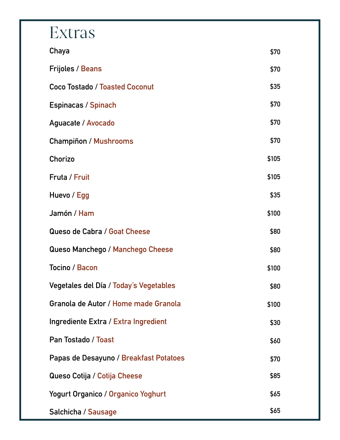## Extras

| Chaya                                     | \$70  |
|-------------------------------------------|-------|
| <b>Frijoles / Beans</b>                   | \$70  |
| <b>Coco Tostado / Toasted Coconut</b>     | \$35  |
| Espinacas / Spinach                       | \$70  |
| Aguacate / Avocado                        | \$70  |
| <b>Champiñon / Mushrooms</b>              | \$70  |
| Chorizo                                   | \$105 |
| Fruta / Fruit                             | \$105 |
| Huevo / Egg                               | \$35  |
| Jamón / Ham                               | \$100 |
| Queso de Cabra / Goat Cheese              | \$80  |
| Queso Manchego / Manchego Cheese          | \$80  |
| Tocino / Bacon                            | \$100 |
| Vegetales del Día / Today's Vegetables    | \$80  |
| Granola de Autor / Home made Granola      | \$100 |
| Ingrediente Extra / Extra Ingredient      | \$30  |
| Pan Tostado / Toast                       | \$60  |
| Papas de Desayuno / Breakfast Potatoes    | \$70  |
| Queso Cotija / Cotija Cheese              | \$85  |
| <b>Yogurt Organico / Organico Yoghurt</b> | \$65  |
| Salchicha / Sausage                       | \$65  |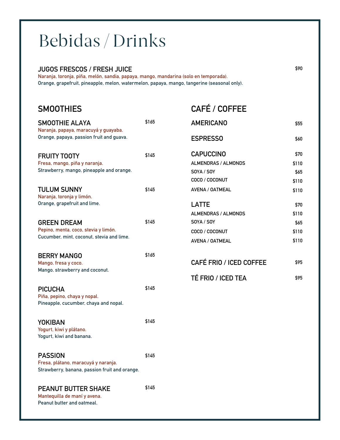# Bebidas / Drinks

#### **JUGOS FRESCOS / FRESH JUICE**

**Naranja, toronja, piña, melón, sandia, papaya, mango, mandarina (solo en temporada). Orange, grapefruit, pineapple, melon, watermelon, papaya, mango, tangerine (seasonal only).**

| <b>SMOOTHIES</b>                                                                         |       | <b>CAFÉ / COFFEE</b>       |       |
|------------------------------------------------------------------------------------------|-------|----------------------------|-------|
| <b>SMOOTHIE ALAYA</b><br>Naranja, papaya, maracuyá y guayaba.                            | \$165 | <b>AMERICANO</b>           | \$55  |
| Orange, papaya, passion fruit and guava.                                                 |       | <b>ESPRESSO</b>            | \$60  |
| <b>FRUITY TOOTY</b>                                                                      | \$145 | <b>CAPUCCINO</b>           | \$70  |
| Fresa, mango, piña y naranja.                                                            |       | <b>ALMENDRAS / ALMONDS</b> | \$110 |
| Strawberry, mango, pineapple and orange.                                                 |       | SOYA / SOY                 | \$65  |
|                                                                                          |       | COCO / COCONUT             | \$110 |
| <b>TULUM SUNNY</b><br>Naranja, toronja y limón.                                          | \$145 | AVENA / OATMEAL            | \$110 |
| Orange, grapefruit and lime.                                                             |       | <b>LATTE</b>               | \$70  |
|                                                                                          |       | <b>ALMENDRAS / ALMONDS</b> | \$110 |
| <b>GREEN DREAM</b>                                                                       | \$145 | SOYA / SOY                 | \$65  |
| Pepino, menta, coco, stevia y limón.                                                     |       | COCO / COCONUT             | \$110 |
| Cucumber, mint, coconut, stevia and lime.                                                |       | AVENA / OATMEAL            | \$110 |
| <b>BERRY MANGO</b><br>Mango, fresa y coco.                                               | \$165 | CAFÉ FRIO / ICED COFFEE    | \$95  |
| Mango, strawberry and coconut.                                                           |       |                            |       |
|                                                                                          |       | <b>TÉ FRIO / ICED TEA</b>  | \$95  |
| <b>PICUCHA</b>                                                                           | \$145 |                            |       |
| Piña, pepino, chaya y nopal.<br>Pineapple, cucumber, chaya and nopal.                    |       |                            |       |
| <b>YOKIBAN</b>                                                                           | \$145 |                            |       |
| Yogurt, kiwi y plátano.<br>Yogurt, kiwi and banana.                                      |       |                            |       |
| <b>PASSION</b>                                                                           | \$145 |                            |       |
| Fresa, plátano, maracuyá y naranja.<br>Strawberry, banana, passion fruit and orange.     |       |                            |       |
| <b>PEANUT BUTTER SHAKE</b><br>Mantequilla de maní y avena.<br>Peanut butter and oatmeal. | \$145 |                            |       |
|                                                                                          |       |                            |       |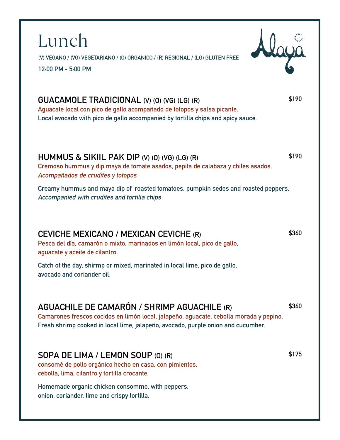**(V) VEGANO / (VG) VEGETARIANO / (O) ORGANICO / (R) REGIONAL / (LG) GLUTEN FREE**

**12:00 PM - 5:00 PM**

Lunch

## **GUACAMOLE TRADICIONAL (V) (O) (VG) (LG) (R)**

**Aguacate local con pico de gallo acompañado de totopos y salsa picante. Local avocado with pico de gallo accompanied by tortilla chips and spicy sauce.**

#### **HUMMUS & SIKIIL PAK DIP (V) (O) (VG) (LG) (R)**

**Cremoso hummus y dip maya de tomate asados, pepita de calabaza y chiles asados. Acompañados de crudites y totopos**

**Creamy hummus and maya dip of roasted tomatoes, pumpkin sedes and roasted peppers. Accompanied with crudites and tortilla chips**

## **CEVICHE MEXICANO / MEXICAN CEVICHE (R)**

**Pesca del día, camarón o mixto, marinados en limón local, pico de gallo, aguacate y aceite de cilantro.**

**Catch of the day, shirmp or mixed, marinated in local lime, pico de gallo, avocado and coriander oil.**

## **AGUACHILE DE CAMARÓN / SHRIMP AGUACHILE (R)**

**Camarones frescos cocidos en limón local, jalapeño, aguacate, cebolla morada y pepino. Fresh shrimp cooked in local lime, jalapeño, avocado, purple onion and cucumber.**

#### **SOPA DE LIMA / LEMON SOUP (O) (R)**

**consomé de pollo orgánico hecho en casa, con pimientos, cebolla, lima, cilantro y tortilla crocante.**

**Homemade organic chicken consomme, with peppers, onion, coriander, lime and crispy tortilla.**

**\$190**

**\$190**

**\$360**

**\$360**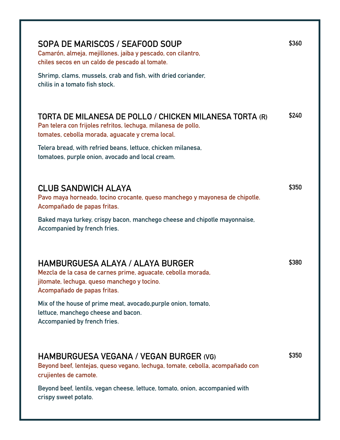| SOPA DE MARISCOS / SEAFOOD SOUP<br>Camarón, almeja, mejillones, jaiba y pescado, con cilantro,<br>chiles secos en un caldo de pescado al tomate.<br>Shrimp, clams, mussels, crab and fish, with dried coriander,<br>chilis in a tomato fish stock.                                                                             | \$360 |
|--------------------------------------------------------------------------------------------------------------------------------------------------------------------------------------------------------------------------------------------------------------------------------------------------------------------------------|-------|
| TORTA DE MILANESA DE POLLO / CHICKEN MILANESA TORTA (R)<br>Pan telera con frijoles refritos, lechuga, milanesa de pollo,<br>tomates, cebolla morada, aguacate y crema local.<br>Telera bread, with refried beans, lettuce, chicken milanesa,<br>tomatoes, purple onion, avocado and local cream.                               | \$240 |
| <b>CLUB SANDWICH ALAYA</b><br>Pavo maya horneado, tocino crocante, queso manchego y mayonesa de chipotle.<br>Acompañado de papas fritas.<br>Baked maya turkey, crispy bacon, manchego cheese and chipotle mayonnaise,<br>Accompanied by french fries.                                                                          | \$350 |
| <b>HAMBURGUESA ALAYA / ALAYA BURGER</b><br>Mezcla de la casa de carnes prime, aguacate, cebolla morada,<br>jitomate, lechuga, queso manchego y tocino.<br>Acompañado de papas fritas.<br>Mix of the house of prime meat, avocado, purple onion, tomato,<br>lettuce, manchego cheese and bacon.<br>Accompanied by french fries. | \$380 |
| HAMBURGUESA VEGANA / VEGAN BURGER (VG)<br>Beyond beef, lentejas, queso vegano, lechuga, tomate, cebolla, acompañado con<br>crujientes de camote.<br>Beyond beef, lentils, vegan cheese, lettuce, tomato, onion, accompanied with<br>crispy sweet potato.                                                                       | \$350 |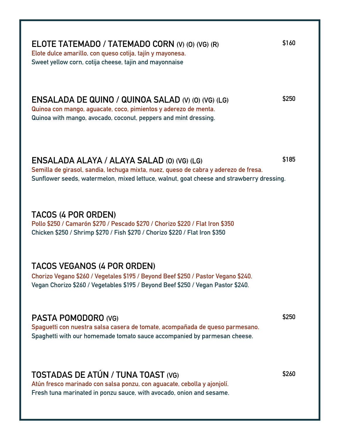|  |                                                           |  |  | ELOTE TATEMADO / TATEMADO CORN (V) (0) (VG) (R) |  |
|--|-----------------------------------------------------------|--|--|-------------------------------------------------|--|
|  | Elote dulce amarillo, con queso cotija, tajín y mayonesa. |  |  |                                                 |  |
|  |                                                           |  |  |                                                 |  |

**Sweet yellow corn, cotija cheese, tajin and mayonnaise**

**ENSALADA DE QUINO / QUINOA SALAD (V) (O) (VG) (LG) Quinoa con mango, aguacate, coco, pimientos y aderezo de menta.**

**Quinoa with mango, avocado, coconut, peppers and mint dressing.**

#### **ENSALADA ALAYA / ALAYA SALAD (O) (VG) (LG)**

**Semilla de girasol, sandia, lechuga mixta, nuez, queso de cabra y aderezo de fresa. Sunflower seeds, watermelon, mixed lettuce, walnut, goat cheese and strawberry dressing.**

## **TACOS (4 POR ORDEN)**

**Pollo \$250 / Camarón \$270 / Pescado \$270 / Chorizo \$220 / Flat Iron \$350 Chicken \$250 / Shrimp \$270 / Fish \$270 / Chorizo \$220 / Flat Iron \$350**

## **TACOS VEGANOS (4 POR ORDEN)**

**Chorizo Vegano \$260 / Vegetales \$195 / Beyond Beef \$250 / Pastor Vegano \$240. Vegan Chorizo \$260 / Vegetables \$195 / Beyond Beef \$250 / Vegan Pastor \$240.**

## **PASTA POMODORO (VG)**

**Spaguetti con nuestra salsa casera de tomate, acompañada de queso parmesano. Spaghetti with our homemade tomato sauce accompanied by parmesan cheese.**

## **TOSTADAS DE ATÚN / TUNA TOAST (VG)**

**Atún fresco marinado con salsa ponzu, con aguacate, cebolla y ajonjolí. Fresh tuna marinated in ponzu sauce, with avocado, onion and sesame.** **\$260**

**\$185**

**\$250**

**\$160**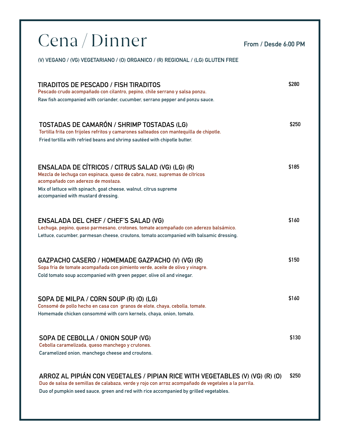| Cena / Dinner                                                                                                                                                                                                                                                                   | From / Desde 6:00 PM |       |
|---------------------------------------------------------------------------------------------------------------------------------------------------------------------------------------------------------------------------------------------------------------------------------|----------------------|-------|
| (V) VEGANO / (VG) VEGETARIANO / (0) ORGANICO / (R) REGIONAL / (LG) GLUTEN FREE                                                                                                                                                                                                  |                      |       |
| <b>TIRADITOS DE PESCADO / FISH TIRADITOS</b><br>Pescado crudo acompañado con cilantro, pepino, chile serrano y salsa ponzu.<br>Raw fish accompanied with coriander, cucumber, serrano pepper and ponzu sauce.                                                                   |                      | \$280 |
| TOSTADAS DE CAMARÓN / SHRIMP TOSTADAS (LG)<br>Tortilla frita con frijoles refritos y camarones salteados con mantequilla de chipotle.<br>Fried tortilla with refried beans and shrimp sautéed with chipotle butter.                                                             |                      | \$250 |
| ENSALADA DE CÍTRICOS / CITRUS SALAD (VG) (LG) (R)<br>Mezcla de lechuga con espinaca, queso de cabra, nuez, supremas de cítricos<br>acompañado con aderezo de mostaza.<br>Mix of lettuce with spinach, goat cheese, walnut, citrus supreme<br>accompanied with mustard dressing. |                      | \$185 |
| <b>ENSALADA DEL CHEF / CHEF'S SALAD (VG)</b><br>Lechuga, pepino, queso parmesano, crotones, tomate acompañado con aderezo balsámico.<br>Lettuce, cucumber, parmesan cheese, croutons, tomato accompanied with balsamic dressing.                                                |                      | \$160 |
| GAZPACHO CASERO / HOMEMADE GAZPACHO (V) (VG) (R)<br>Sopa fria de tomate acompañada con pimiento verde, aceite de olivo y vinagre.<br>Cold tomato soup accompanied with green pepper, olive oil and vinegar.                                                                     |                      | \$150 |
| SOPA DE MILPA / CORN SOUP (R) (0) (LG)<br>Consomé de pollo hecho en casa con granos de elote, chaya, cebolla, tomate.<br>Homemade chicken consommé with corn kernels, chaya, onion, tomato.                                                                                     |                      | \$160 |
| SOPA DE CEBOLLA / ONION SOUP (VG)<br>Cebolla caramelizada, queso manchego y crutones.<br>Caramelized onion, manchego cheese and croutons.                                                                                                                                       |                      | \$130 |
| ARROZ AL PIPIÁN CON VEGETALES / PIPIAN RICE WITH VEGETABLES (V) (VG) (R) (O)<br>Duo de salsa de semillas de calabaza, verde y rojo con arroz acompañado de vegetales a la parrila.                                                                                              |                      | \$250 |

**Duo of pumpkin seed sauce, green and red with rice accompanied by grilled vegetables.**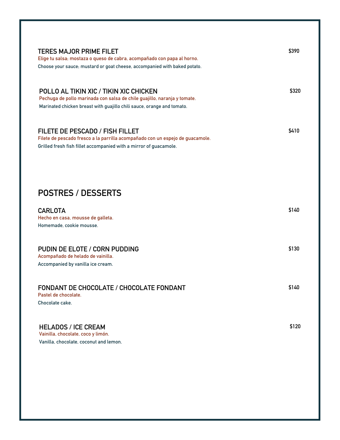| <b>TERES MAJOR PRIME FILET</b><br>Elige tu salsa; mostaza o queso de cabra, acompañado con papa al horno.<br>Choose your sauce; mustard or goat cheese, accompanied with baked potato.       | \$390 |
|----------------------------------------------------------------------------------------------------------------------------------------------------------------------------------------------|-------|
| POLLO AL TIKIN XIC / TIKIN XIC CHICKEN<br>Pechuga de pollo marinada con salsa de chile guajillo, naranja y tomate.<br>Marinated chicken breast with guajillo chili sauce, orange and tomato. | \$320 |
| <b>FILETE DE PESCADO / FISH FILLET</b><br>Filete de pescado fresco a la parrilla acompañado con un espejo de guacamole.<br>Grilled fresh fish fillet accompanied with a mirror of guacamole. | \$410 |
|                                                                                                                                                                                              |       |
| <b>POSTRES / DESSERTS</b>                                                                                                                                                                    |       |
| <b>CARLOTA</b><br>Hecho en casa, mousse de galleta.<br>Homemade, cookie mousse.                                                                                                              | \$140 |
| PUDIN DE ELOTE / CORN PUDDING<br>Acompañado de helado de vainilla.<br>Accompanied by vanilla ice cream.                                                                                      | \$130 |
| <b>FONDANT DE CHOCOLATE / CHOCOLATE FONDANT</b><br>Pastel de chocolate.<br>Chocolate cake.                                                                                                   | \$140 |
| <b>HELADOS / ICE CREAM</b><br>Vainilla, chocolate, coco y limón.<br>Vanilla, chocolate, coconut and lemon.                                                                                   | \$120 |